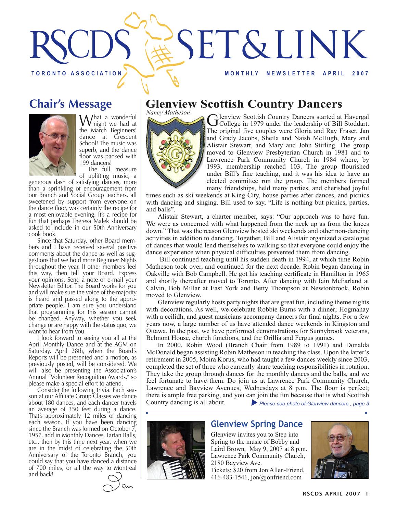

# **Chair's Message**



What a wonderful<br>
we had at the March Beginners' dance at Crescent School! The music was superb, and the dance floor was packed with 199 dancers!

The full measure of uplifting music, a

generous dash of satisfying dances, more than a sprinkling of encouragement from our Branch and Social Group teachers, all sweetened by support from everyone on the dance floor, was certainly the recipe for a most enjoyable evening. It's a recipe for fun that perhaps Theresa Malek should be asked to include in our 50th Anniversary cook book.

Since that Saturday, other Board members and I have received several positive comments about the dance as well as suggestions that we hold more Beginner Nights throughout the year. If other members feel this way, then tell your Board. Express your opinions. Send a note or e-mail your Newsletter Editor. The Board works for you and will make sure the voice of the majority is heard and passed along to the appropriate people. I am sure you understand that programming for this season cannot be changed. Anyway, whether you seek change or are happy with the status quo, we

want to hear from you.<br>I look forward to seeing you all at the April Monthly Dance and at the AGM on Saturday, April 28th, when the Board's Reports will be presented and a motion, as previously posted, will be considered. We will also be presenting the Association's Annual "Volunteer Recognition Awards," so please make a special effort to attend.

Consider the following trivia. Each season at our Affiliate Group Classes we dance about 180 dances, and each dancer travels an average of 350 feet during a dance. That's approximately 12 miles of dancing each season. If you have been dancing since the Branch was formed on October  $\overline{7}$ , 1957, add in Monthly Dances, Tartan Balls, etc., then by this time next year, when we are in the midst of celebrating the 50th<br>Anniversary of the Toronto Branch, you could say that you have danced a distance of 700 miles, or all the way to Montreal and back!



# **Glenview Scottish Country Dancers**

*Nancy Matheson*



Glenview Scottish Country Dancers started at Havergal<br>College in 1979 under the leadership of Bill Stoddart. The original five couples were Gloria and Ray Fraser, Jan and Grady Jacobs, Sheila and Naish McHugh, Mary and Alistair Stewart, and Mary and John Stirling. The group moved to Glenview Presbyterian Church in 1981 and to Lawrence Park Community Church in 1984 where, by 1993, membership reached 103. The group flourished under Bill's fine teaching, and it was his idea to have an elected committee run the group. The members formed many friendships, held many parties, and cherished joyful

times such as ski weekends at King City, house parties after dances, and picnics with dancing and singing. Bill used to say, "Life is nothing but picnics, parties, and balls".

Alistair Stewart, a charter member, says: "Our approach was to have fun. We were as concerned with what happened from the neck up as from the knees down." That was the reason Glenview hosted ski weekends and other non-dancing activities in addition to dancing. Together, Bill and Alistair organized a catalogue of dances that would lend themselves to walking so that everyone could enjoy the dance experience when physical difficulties prevented them from dancing.

 Bill continued teaching until his sudden death in 1994, at which time Robin Matheson took over, and continued for the next decade. Robin began dancing in Oakville with Bob Campbell. He got his teaching certificate in Hamilton in 1965 and shortly thereafter moved to Toronto. After dancing with Iain McFarland at Calvin, Bob Millar at East York and Betty Thompson at Newtonbrook, Robin moved to Glenview.

Glenview regularly hosts party nights that are great fun, including theme nights with decorations. As well, we celebrate Robbie Burns with a dinner; Hogmanay with a ceilidh, and guest musicians accompany dancers for final nights. For a few years now, a large number of us have attended dance weekends in Kingston and Ottawa. In the past, we have performed demonstrations for Sunnybrook veterans, Belmont House, church functions, and the Orillia and Fergus games.

In 2000, Robin Wood (Branch Chair from 1989 to 1991) and Donalda McDonald began assisting Robin Matheson in teaching the class. Upon the latter's retirement in 2005, Moira Korus, who had taught a few dances weekly since 2003, completed the set of three who currently share teaching responsibilities in rotation. They take the group through dances for the monthly dances and the balls, and we feel fortunate to have them. Do join us at Lawrence Park Community Church, Lawrence and Bayview Avenues, Wednesdays at 8 p.m. The floor is perfect; there is ample free parking, and you can join the fun because that is what Scottish Country dancing is all about. Please see photo of Glenview dancers, page 3



#### **Glenview Spring Dance**

Glenview invites you to Step into Spring to the music of Bobby and Laird Brown, May 9, 2007 at 8 p.m. Lawrence Park Community Church, 2180 Bayview Ave.

Tickets: \$20 from Jon Allen-Friend, 416-483-1541, jon@jonfriend.com

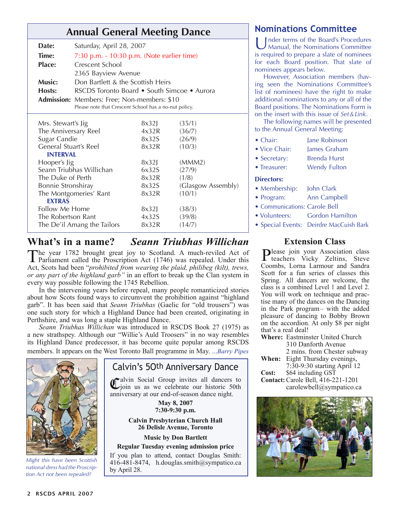# **Annual General Meeting Dance Nominations Committee**

| Date:                        | Saturday, April 28, 2007                              |       |                    |
|------------------------------|-------------------------------------------------------|-------|--------------------|
| Time:                        | $7:30$ p.m. $-10:30$ p.m. (Note earlier time)         |       |                    |
| <b>Place:</b>                | Crescent School                                       |       |                    |
|                              | 2365 Bayview Avenue                                   |       |                    |
| Music:                       | Don Bartlett & the Scottish Heirs                     |       |                    |
| Hosts:                       | RSCDS Toronto Board • South Simcoe • Aurora           |       |                    |
|                              | Admission: Members: Free; Non-members: \$10           |       |                    |
|                              | Please note that Crescent School has a no-nut policy. |       |                    |
|                              |                                                       |       |                    |
| Mrs. Stewart's Jig           |                                                       | 8x32J | (35/1)             |
| The Anniversary Reel         |                                                       | 4x32R | (36/7)             |
| Sugar Candie                 |                                                       | 8x32S | (26/9)             |
| <b>General Stuart's Reel</b> |                                                       | 8x32R | (10/3)             |
| <b>INTERVAL</b>              |                                                       |       |                    |
| Hooper's Jig                 |                                                       | 8x32  | (MMM2)             |
| Seann Triubhas Willichan     |                                                       | 6x32S | (27/9)             |
| The Duke of Perth            |                                                       | 8x32R | (1/8)              |
| Bonnie Stronshiray           |                                                       | 8x32S | (Glasgow Assembly) |
| The Montgomeries' Rant       |                                                       | 8x32R | (10/1)             |
| <b>EXTRAS</b>                |                                                       |       |                    |
| Follow Me Home               |                                                       | 8x32  | (38/3)             |
| The Robertson Rant           |                                                       | 4x32S | (39/8)             |
| The De'il Amang the Tailors  |                                                       | 8x32R | (14/7)             |

## **What's in a name?** *Seann Triubhas Willichan*

The year 1782 brought great joy to Scotland. A much-reviled Act of Parliament called the Proscription Act (1746) was repealed. Under this Act, Scots had been "*prohibited from wearing the plaid, philibeg (kilt), trews, or any part of the highland garb"* in an effort to break up the Clan system in every way possible following the 1745 Rebellion.

In the intervening years before repeal, many people romanticized stories about how Scots found ways to circumvent the prohibition against "highland garb". It has been said that *Seann Triubhas* (Gaelic for "old trousers") was one such story for which a Highland Dance had been created, originating in Perthshire, and was long a staple Highland Dance.

*Seann Triubhas Willichan* was introduced in RSCDS Book 27 (1975) as a new strathspey. Although our "Willie's Auld Troosers" in no way resembles its Highland Dance predecessor, it has become quite popular among RSCDS members. It appears on the West Toronto Ball programme in May. ...*Barry Pipes*



*Might this have been Scottish national dress had the Proscription Act not been repealed?*

### Calvin's 5Oth Anniversary Dance

Calvin Social Group invites all dancers to join us as we celebrate our historic 50th anniversary at our end-of-season dance night.

> **May 8, 2007 7:30-9:30 p.m.**

#### **Calvin Presbyterian Church Hall 26 Delisle Avenue, Toronto**

**Music by Don Bartlett**

**Regular Tuesday evening admission price**

If you plan to attend, contact Douglas Smith: 416-481-8474, h.douglas.smith@sympatico.ca by April 28.

Inder terms of the Board's Procedures Manual, the Nominations Committee is required to prepare a slate of nominees for each Board position. That slate of nominees appears below.

However, Association members (having seen the Nominations Committee's list of nominees) have the right to make additional nominations to any or all of the Board positions. The Nominations Form is on the insert with this issue of *Set&Link*.

The following names will be presented to the Annual General Meeting:

| • Chair:          | Jane Robinson       |  |
|-------------------|---------------------|--|
| • Vice Chair:     | James Graham        |  |
| • Secretary:      | <b>Brenda Hurst</b> |  |
| • Treasurer:      | <b>Wendy Fulton</b> |  |
| <b>Directors:</b> |                     |  |
| • Membership:     | John Clark          |  |
| • Program:        | Ann Campbell        |  |

• Communications: Carole Bell

- Volunteers: Gordon Hamilton
- Special Events: Deirdre MacCuish Bark

### **Extension Class**

Please join your Association class teachers Vicky Zeltins, Steve Coombs, Lorna Larmour and Sandra Scott for a fun series of classes this Spring. All dancers are welcome, the class is a combined Level 1 and Level 2. You will work on technique and practise many of the dances on the Dancing in the Park program– with the added pleasure of dancing to Bobby Brown on the accordion. At only \$8 per night that's a real deal!

**Where:** Eastminster United Church 310 Danforth Avenue 2 mins. from Chester subway **When:** Eight Thursday evenings, 7:30-9:30 starting April 12 **Cost:** \$64 including GST

**Contact:** Carole Bell, 416-221-1201 carolewbell@sympatico.ca

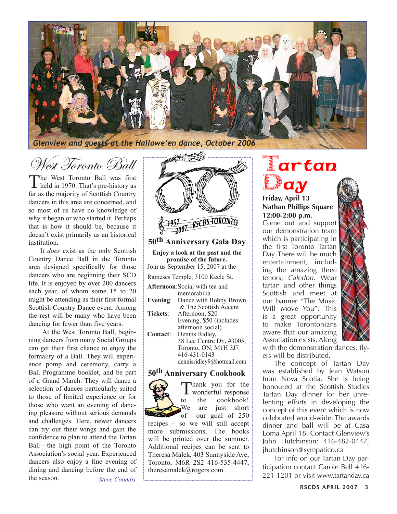

West Toronto Ball

The West Toronto Ball was first held in 1970. That's pre-history as far as the majority of Scottish Country dancers in this area are concerned, and so most of us have no knowledge of why it began or who started it. Perhaps that is how it should be, because it doesn't exist primarily as an historical institution.

It *does* exist as the only Scottish Country Dance Ball in the Toronto area designed specifically for those dancers who are beginning their SCD life. It is enjoyed by over 200 dancers each year, of whom some 15 to 20 might be attending as their first formal Scottish Country Dance event. Among the rest will be many who have been dancing for fewer than five years.

 At the West Toronto Ball, beginning dancers from many Social Groups can get their first chance to enjoy the formality of a Ball. They will experience pomp and ceremony, carry a Ball Programme booklet, and be part of a Grand March. They will dance a selection of dances particularly suited to those of limited experience or for those who want an evening of dancing pleasure without serious demands and challenges. Here, newer dancers can try out their wings and gain the confidence to plan to attend the Tartan Ball—the high point of the Toronto Association's social year. Experienced dancers also enjoy a fine evening of dining and dancing before the end of the season. *Steve Coombs*



**50th Anniversary Gala Day**

**Enjoy a look at the past and the promise of the future.** Join us September 15, 2007 at the

Rameses Temple, 3100 Keele St.

|                 | <b>Afternoon:</b> Social with tea and |
|-----------------|---------------------------------------|
|                 | memorabilia                           |
| Evening:        | Dance with Bobby Brown                |
|                 | & The Scottish Accent                 |
| <b>Tickets:</b> | Afternoon, \$20                       |
|                 | Evening, \$50 (includes               |
|                 | afternoon social)                     |
| Contact:        | Dennis Ridley,                        |
|                 | 38 Lee Centre Dr., #3005,             |
|                 | Toronto, ON, M1H 3J7                  |
|                 | 416-431-0143                          |
|                 | dennisridley9@hotmail.com             |

#### **50th Anniversary Cookbook**



Thank you for the<br>to the cookbook! wonderful response cookbook! We are just short

of our goal of 250 recipes – so we will still accept more submissions. The books will be printed over the summer. Additional recipes can be sent to Theresa Malek, 403 Sunnyside Ave, Toronto, M6R 2S2 416-535-4447, theresamalek@rogers.com

# Tartan **Day**

#### **Friday, April 13 Nathan Phillips Square 12:00-2:00 p.m.**

Come out and support our demonstration team which is participating in the first Toronto Tartan Day. There will be much entertainment, including the amazing three tenors, *Caledon*. Wear tartan and other things Scottish and meet at our banner "The Music Will Move You". This is a great opportunity to make Torontonians aware that our amazing Association exists. Along

with the demonstration dances, flyers will be distributed.

The concept of Tartan Day was established by Jean Watson from Nova Scotia. She is being honoured at the Scottish Studies Tartan Day dinner for her unrelenting efforts in developing the concept of this event which is now celebrated world-wide. The awards dinner and ball will be at Casa Loma April 18. Contact Glenview's John Hutchinson: 416-482-0447, jhutchinson@sympatico.ca

For info on our Tartan Day participation contact Carole Bell 416- 221-1201 or visit www.tartanday.ca